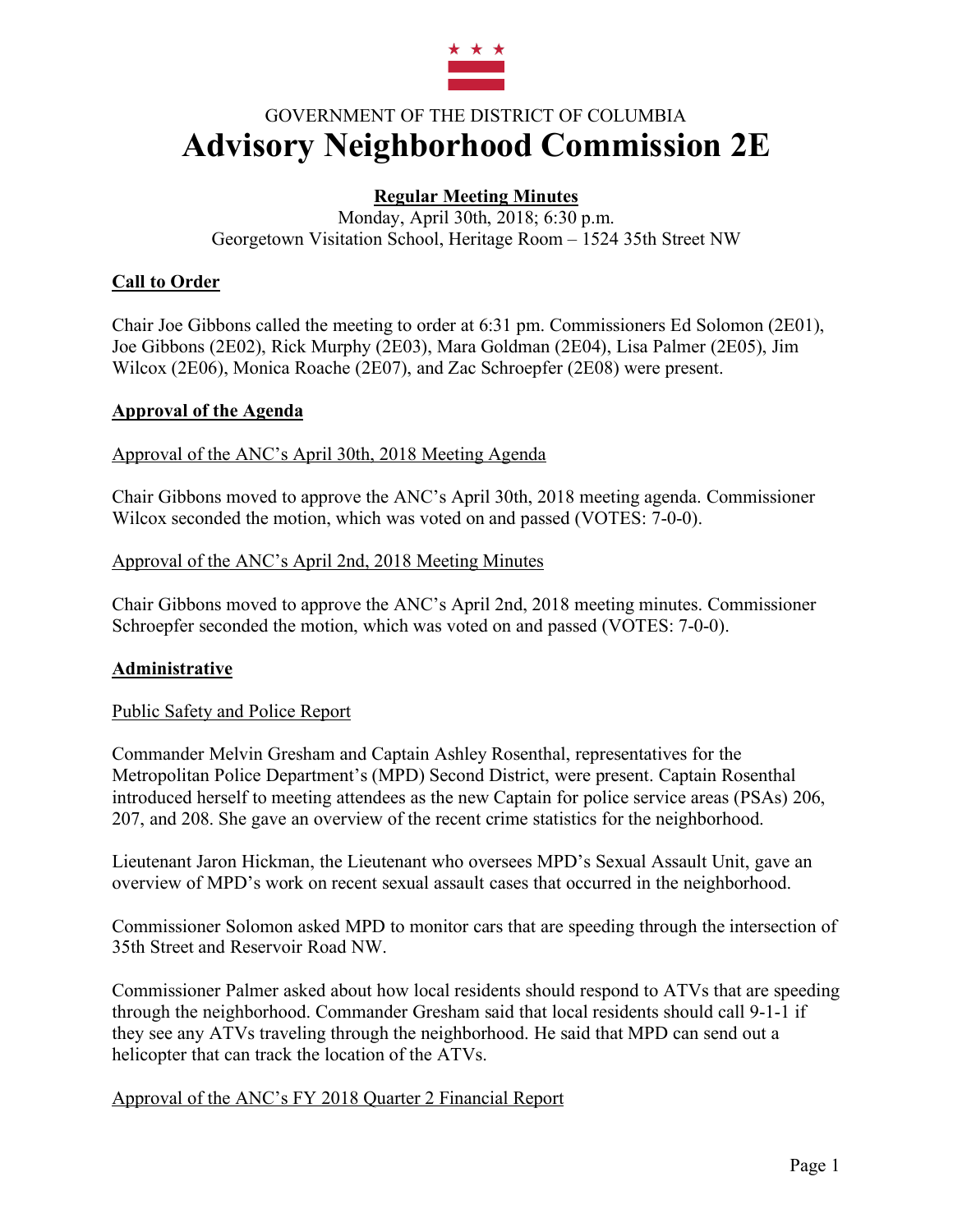

# GOVERNMENT OF THE DISTRICT OF COLUMBIA **Advisory Neighborhood Commission 2E**

# **Regular Meeting Minutes**

Monday, April 30th, 2018; 6:30 p.m. Georgetown Visitation School, Heritage Room – 1524 35th Street NW

## **Call to Order**

Chair Joe Gibbons called the meeting to order at 6:31 pm. Commissioners Ed Solomon (2E01), Joe Gibbons (2E02), Rick Murphy (2E03), Mara Goldman (2E04), Lisa Palmer (2E05), Jim Wilcox (2E06), Monica Roache (2E07), and Zac Schroepfer (2E08) were present.

#### **Approval of the Agenda**

Approval of the ANC's April 30th, 2018 Meeting Agenda

Chair Gibbons moved to approve the ANC's April 30th, 2018 meeting agenda. Commissioner Wilcox seconded the motion, which was voted on and passed (VOTES: 7-0-0).

## Approval of the ANC's April 2nd, 2018 Meeting Minutes

Chair Gibbons moved to approve the ANC's April 2nd, 2018 meeting minutes. Commissioner Schroepfer seconded the motion, which was voted on and passed (VOTES: 7-0-0).

## **Administrative**

#### Public Safety and Police Report

Commander Melvin Gresham and Captain Ashley Rosenthal, representatives for the Metropolitan Police Department's (MPD) Second District, were present. Captain Rosenthal introduced herself to meeting attendees as the new Captain for police service areas (PSAs) 206, 207, and 208. She gave an overview of the recent crime statistics for the neighborhood.

Lieutenant Jaron Hickman, the Lieutenant who oversees MPD's Sexual Assault Unit, gave an overview of MPD's work on recent sexual assault cases that occurred in the neighborhood.

Commissioner Solomon asked MPD to monitor cars that are speeding through the intersection of 35th Street and Reservoir Road NW.

Commissioner Palmer asked about how local residents should respond to ATVs that are speeding through the neighborhood. Commander Gresham said that local residents should call 9-1-1 if they see any ATVs traveling through the neighborhood. He said that MPD can send out a helicopter that can track the location of the ATVs.

#### Approval of the ANC's FY 2018 Quarter 2 Financial Report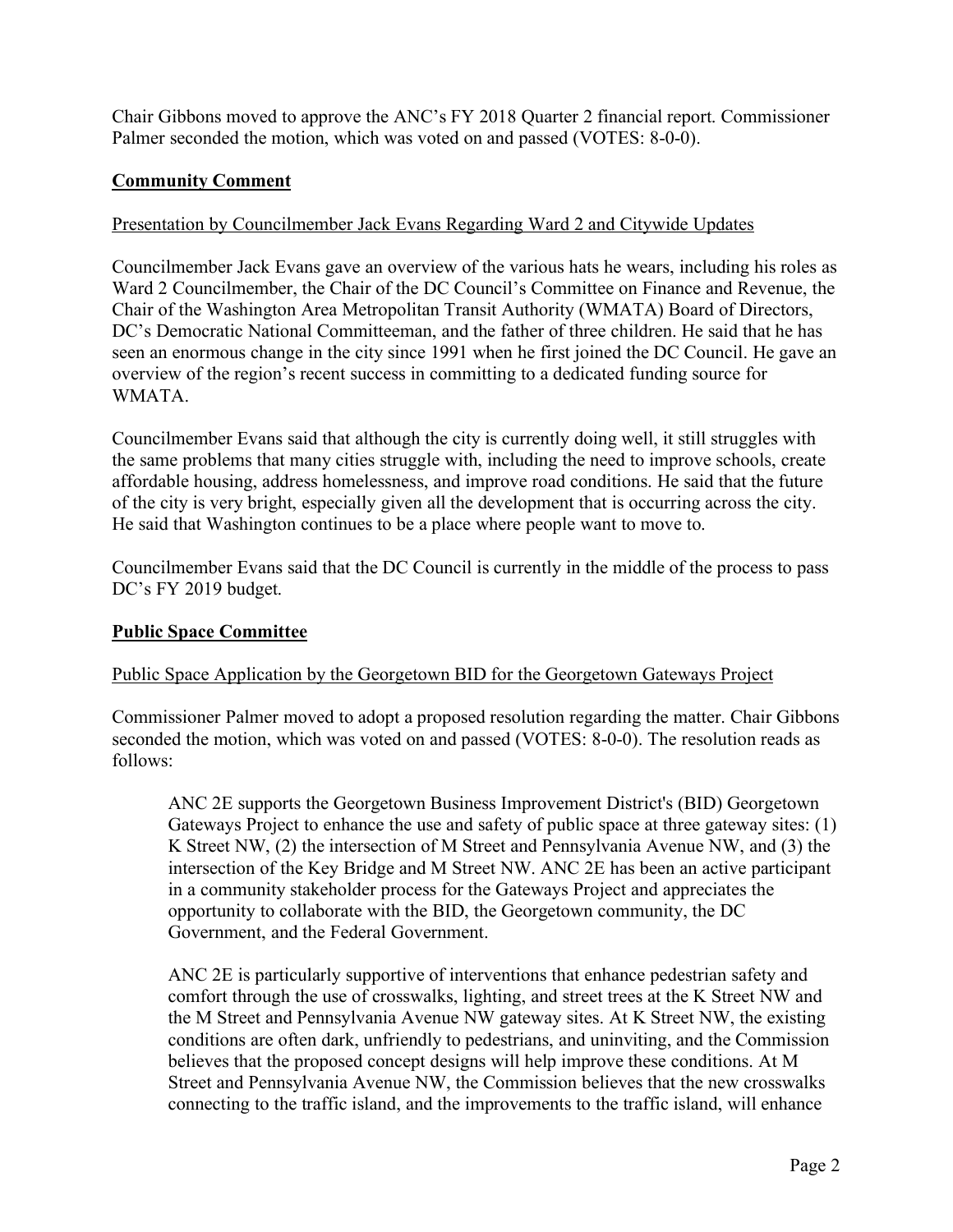Chair Gibbons moved to approve the ANC's FY 2018 Quarter 2 financial report. Commissioner Palmer seconded the motion, which was voted on and passed (VOTES: 8-0-0).

# **Community Comment**

## Presentation by Councilmember Jack Evans Regarding Ward 2 and Citywide Updates

Councilmember Jack Evans gave an overview of the various hats he wears, including his roles as Ward 2 Councilmember, the Chair of the DC Council's Committee on Finance and Revenue, the Chair of the Washington Area Metropolitan Transit Authority (WMATA) Board of Directors, DC's Democratic National Committeeman, and the father of three children. He said that he has seen an enormous change in the city since 1991 when he first joined the DC Council. He gave an overview of the region's recent success in committing to a dedicated funding source for WMATA.

Councilmember Evans said that although the city is currently doing well, it still struggles with the same problems that many cities struggle with, including the need to improve schools, create affordable housing, address homelessness, and improve road conditions. He said that the future of the city is very bright, especially given all the development that is occurring across the city. He said that Washington continues to be a place where people want to move to.

Councilmember Evans said that the DC Council is currently in the middle of the process to pass DC's FY 2019 budget.

## **Public Space Committee**

## Public Space Application by the Georgetown BID for the Georgetown Gateways Project

Commissioner Palmer moved to adopt a proposed resolution regarding the matter. Chair Gibbons seconded the motion, which was voted on and passed (VOTES: 8-0-0). The resolution reads as follows:

ANC 2E supports the Georgetown Business Improvement District's (BID) Georgetown Gateways Project to enhance the use and safety of public space at three gateway sites: (1) K Street NW, (2) the intersection of M Street and Pennsylvania Avenue NW, and (3) the intersection of the Key Bridge and M Street NW. ANC 2E has been an active participant in a community stakeholder process for the Gateways Project and appreciates the opportunity to collaborate with the BID, the Georgetown community, the DC Government, and the Federal Government.

ANC 2E is particularly supportive of interventions that enhance pedestrian safety and comfort through the use of crosswalks, lighting, and street trees at the K Street NW and the M Street and Pennsylvania Avenue NW gateway sites. At K Street NW, the existing conditions are often dark, unfriendly to pedestrians, and uninviting, and the Commission believes that the proposed concept designs will help improve these conditions. At M Street and Pennsylvania Avenue NW, the Commission believes that the new crosswalks connecting to the traffic island, and the improvements to the traffic island, will enhance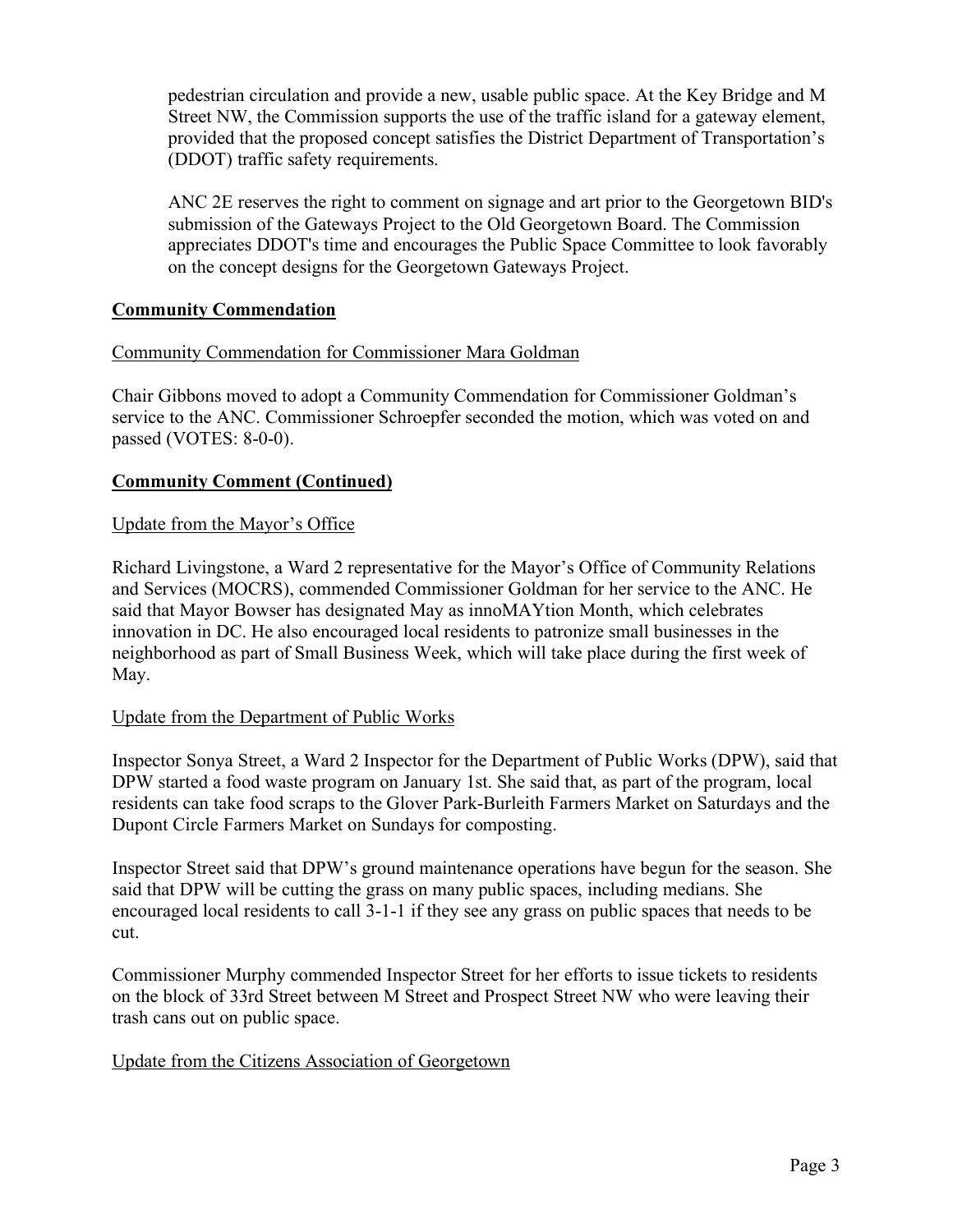pedestrian circulation and provide a new, usable public space. At the Key Bridge and M Street NW, the Commission supports the use of the traffic island for a gateway element, provided that the proposed concept satisfies the District Department of Transportation's (DDOT) traffic safety requirements.

ANC 2E reserves the right to comment on signage and art prior to the Georgetown BID's submission of the Gateways Project to the Old Georgetown Board. The Commission appreciates DDOT's time and encourages the Public Space Committee to look favorably on the concept designs for the Georgetown Gateways Project.

## **Community Commendation**

## Community Commendation for Commissioner Mara Goldman

Chair Gibbons moved to adopt a Community Commendation for Commissioner Goldman's service to the ANC. Commissioner Schroepfer seconded the motion, which was voted on and passed (VOTES: 8-0-0).

## **Community Comment (Continued)**

## Update from the Mayor's Office

Richard Livingstone, a Ward 2 representative for the Mayor's Office of Community Relations and Services (MOCRS), commended Commissioner Goldman for her service to the ANC. He said that Mayor Bowser has designated May as innoMAYtion Month, which celebrates innovation in DC. He also encouraged local residents to patronize small businesses in the neighborhood as part of Small Business Week, which will take place during the first week of May.

## Update from the Department of Public Works

Inspector Sonya Street, a Ward 2 Inspector for the Department of Public Works (DPW), said that DPW started a food waste program on January 1st. She said that, as part of the program, local residents can take food scraps to the Glover Park-Burleith Farmers Market on Saturdays and the Dupont Circle Farmers Market on Sundays for composting.

Inspector Street said that DPW's ground maintenance operations have begun for the season. She said that DPW will be cutting the grass on many public spaces, including medians. She encouraged local residents to call 3-1-1 if they see any grass on public spaces that needs to be cut.

Commissioner Murphy commended Inspector Street for her efforts to issue tickets to residents on the block of 33rd Street between M Street and Prospect Street NW who were leaving their trash cans out on public space.

## Update from the Citizens Association of Georgetown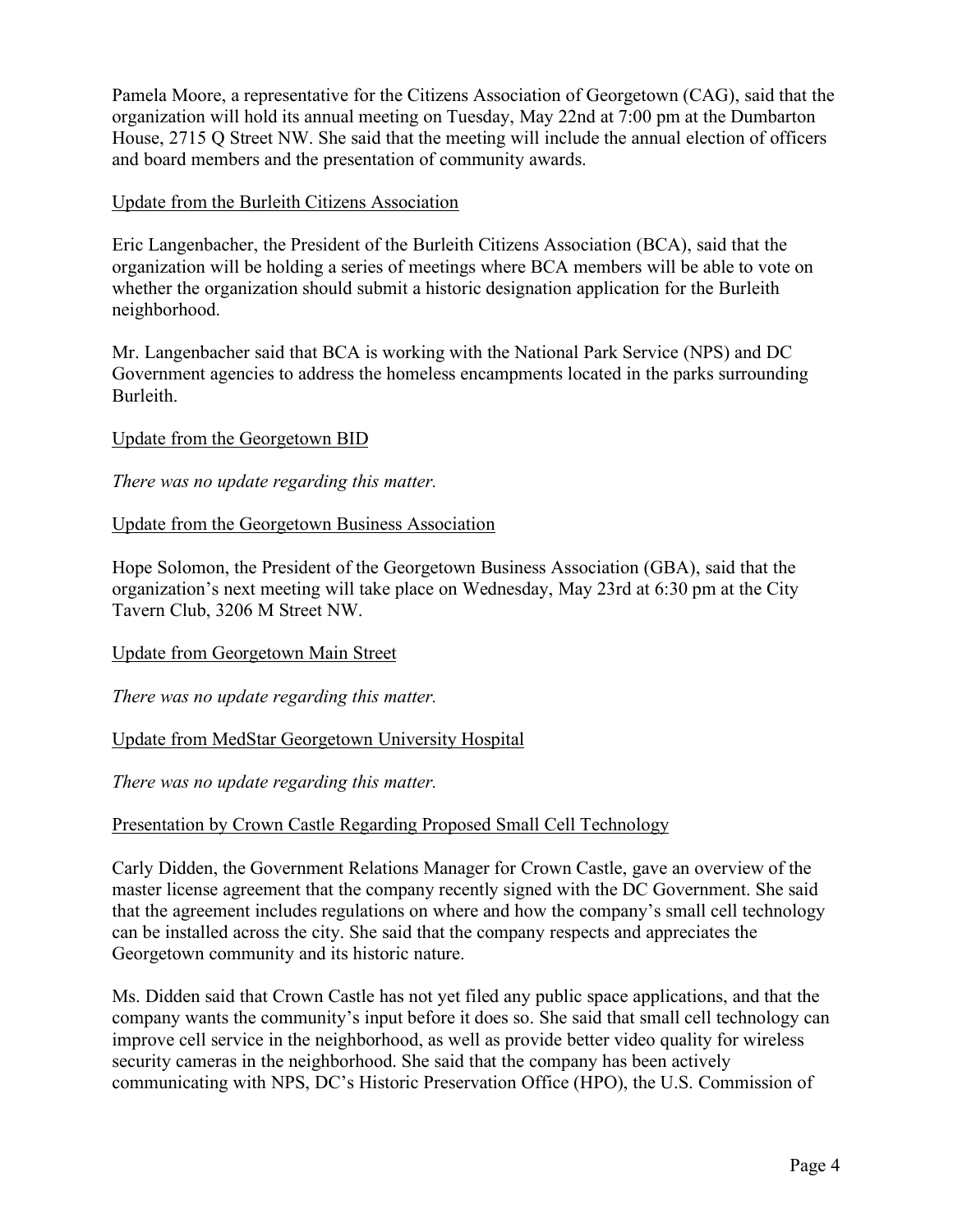Pamela Moore, a representative for the Citizens Association of Georgetown (CAG), said that the organization will hold its annual meeting on Tuesday, May 22nd at 7:00 pm at the Dumbarton House, 2715 Q Street NW. She said that the meeting will include the annual election of officers and board members and the presentation of community awards.

#### Update from the Burleith Citizens Association

Eric Langenbacher, the President of the Burleith Citizens Association (BCA), said that the organization will be holding a series of meetings where BCA members will be able to vote on whether the organization should submit a historic designation application for the Burleith neighborhood.

Mr. Langenbacher said that BCA is working with the National Park Service (NPS) and DC Government agencies to address the homeless encampments located in the parks surrounding Burleith.

## Update from the Georgetown BID

*There was no update regarding this matter.*

#### Update from the Georgetown Business Association

Hope Solomon, the President of the Georgetown Business Association (GBA), said that the organization's next meeting will take place on Wednesday, May 23rd at 6:30 pm at the City Tavern Club, 3206 M Street NW.

#### Update from Georgetown Main Street

*There was no update regarding this matter.*

## Update from MedStar Georgetown University Hospital

*There was no update regarding this matter.*

#### Presentation by Crown Castle Regarding Proposed Small Cell Technology

Carly Didden, the Government Relations Manager for Crown Castle, gave an overview of the master license agreement that the company recently signed with the DC Government. She said that the agreement includes regulations on where and how the company's small cell technology can be installed across the city. She said that the company respects and appreciates the Georgetown community and its historic nature.

Ms. Didden said that Crown Castle has not yet filed any public space applications, and that the company wants the community's input before it does so. She said that small cell technology can improve cell service in the neighborhood, as well as provide better video quality for wireless security cameras in the neighborhood. She said that the company has been actively communicating with NPS, DC's Historic Preservation Office (HPO), the U.S. Commission of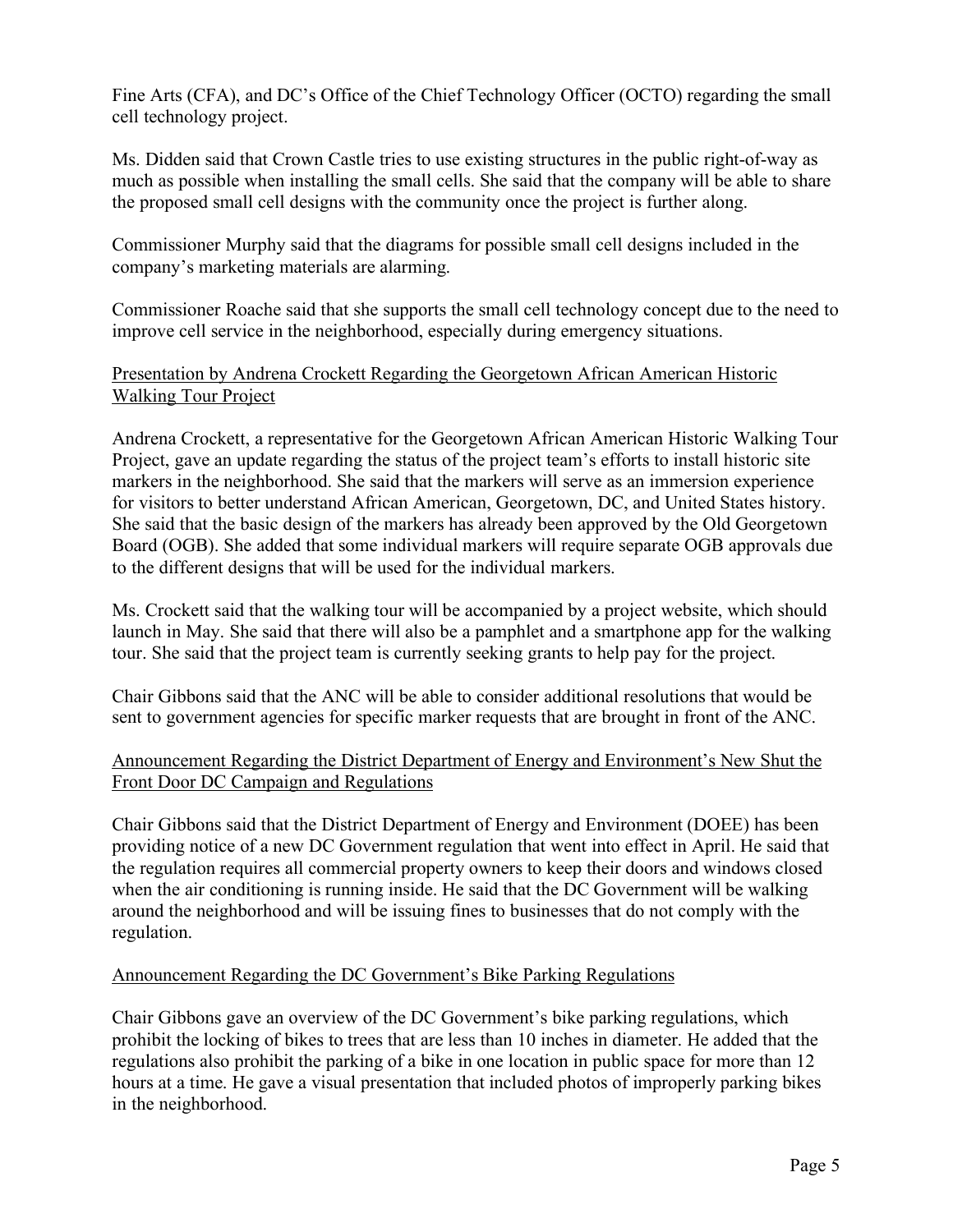Fine Arts (CFA), and DC's Office of the Chief Technology Officer (OCTO) regarding the small cell technology project.

Ms. Didden said that Crown Castle tries to use existing structures in the public right-of-way as much as possible when installing the small cells. She said that the company will be able to share the proposed small cell designs with the community once the project is further along.

Commissioner Murphy said that the diagrams for possible small cell designs included in the company's marketing materials are alarming.

Commissioner Roache said that she supports the small cell technology concept due to the need to improve cell service in the neighborhood, especially during emergency situations.

## Presentation by Andrena Crockett Regarding the Georgetown African American Historic Walking Tour Project

Andrena Crockett, a representative for the Georgetown African American Historic Walking Tour Project, gave an update regarding the status of the project team's efforts to install historic site markers in the neighborhood. She said that the markers will serve as an immersion experience for visitors to better understand African American, Georgetown, DC, and United States history. She said that the basic design of the markers has already been approved by the Old Georgetown Board (OGB). She added that some individual markers will require separate OGB approvals due to the different designs that will be used for the individual markers.

Ms. Crockett said that the walking tour will be accompanied by a project website, which should launch in May. She said that there will also be a pamphlet and a smartphone app for the walking tour. She said that the project team is currently seeking grants to help pay for the project.

Chair Gibbons said that the ANC will be able to consider additional resolutions that would be sent to government agencies for specific marker requests that are brought in front of the ANC.

# Announcement Regarding the District Department of Energy and Environment's New Shut the Front Door DC Campaign and Regulations

Chair Gibbons said that the District Department of Energy and Environment (DOEE) has been providing notice of a new DC Government regulation that went into effect in April. He said that the regulation requires all commercial property owners to keep their doors and windows closed when the air conditioning is running inside. He said that the DC Government will be walking around the neighborhood and will be issuing fines to businesses that do not comply with the regulation.

# Announcement Regarding the DC Government's Bike Parking Regulations

Chair Gibbons gave an overview of the DC Government's bike parking regulations, which prohibit the locking of bikes to trees that are less than 10 inches in diameter. He added that the regulations also prohibit the parking of a bike in one location in public space for more than 12 hours at a time. He gave a visual presentation that included photos of improperly parking bikes in the neighborhood.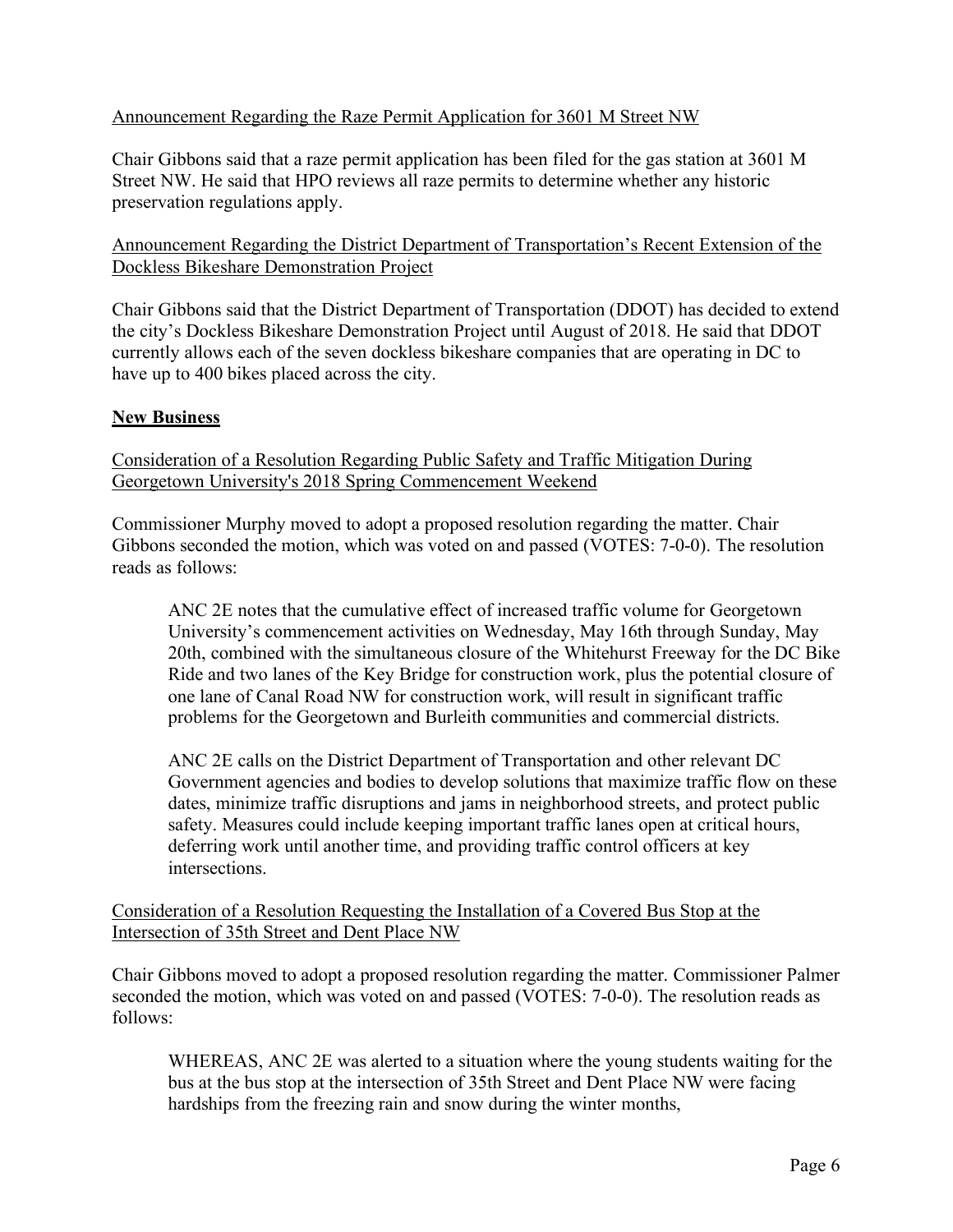# Announcement Regarding the Raze Permit Application for 3601 M Street NW

Chair Gibbons said that a raze permit application has been filed for the gas station at 3601 M Street NW. He said that HPO reviews all raze permits to determine whether any historic preservation regulations apply.

Announcement Regarding the District Department of Transportation's Recent Extension of the Dockless Bikeshare Demonstration Project

Chair Gibbons said that the District Department of Transportation (DDOT) has decided to extend the city's Dockless Bikeshare Demonstration Project until August of 2018. He said that DDOT currently allows each of the seven dockless bikeshare companies that are operating in DC to have up to 400 bikes placed across the city.

## **New Business**

Consideration of a Resolution Regarding Public Safety and Traffic Mitigation During Georgetown University's 2018 Spring Commencement Weekend

Commissioner Murphy moved to adopt a proposed resolution regarding the matter. Chair Gibbons seconded the motion, which was voted on and passed (VOTES: 7-0-0). The resolution reads as follows:

ANC 2E notes that the cumulative effect of increased traffic volume for Georgetown University's commencement activities on Wednesday, May 16th through Sunday, May 20th, combined with the simultaneous closure of the Whitehurst Freeway for the DC Bike Ride and two lanes of the Key Bridge for construction work, plus the potential closure of one lane of Canal Road NW for construction work, will result in significant traffic problems for the Georgetown and Burleith communities and commercial districts.

ANC 2E calls on the District Department of Transportation and other relevant DC Government agencies and bodies to develop solutions that maximize traffic flow on these dates, minimize traffic disruptions and jams in neighborhood streets, and protect public safety. Measures could include keeping important traffic lanes open at critical hours, deferring work until another time, and providing traffic control officers at key intersections.

Consideration of a Resolution Requesting the Installation of a Covered Bus Stop at the Intersection of 35th Street and Dent Place NW

Chair Gibbons moved to adopt a proposed resolution regarding the matter. Commissioner Palmer seconded the motion, which was voted on and passed (VOTES: 7-0-0). The resolution reads as follows:

WHEREAS, ANC 2E was alerted to a situation where the young students waiting for the bus at the bus stop at the intersection of 35th Street and Dent Place NW were facing hardships from the freezing rain and snow during the winter months,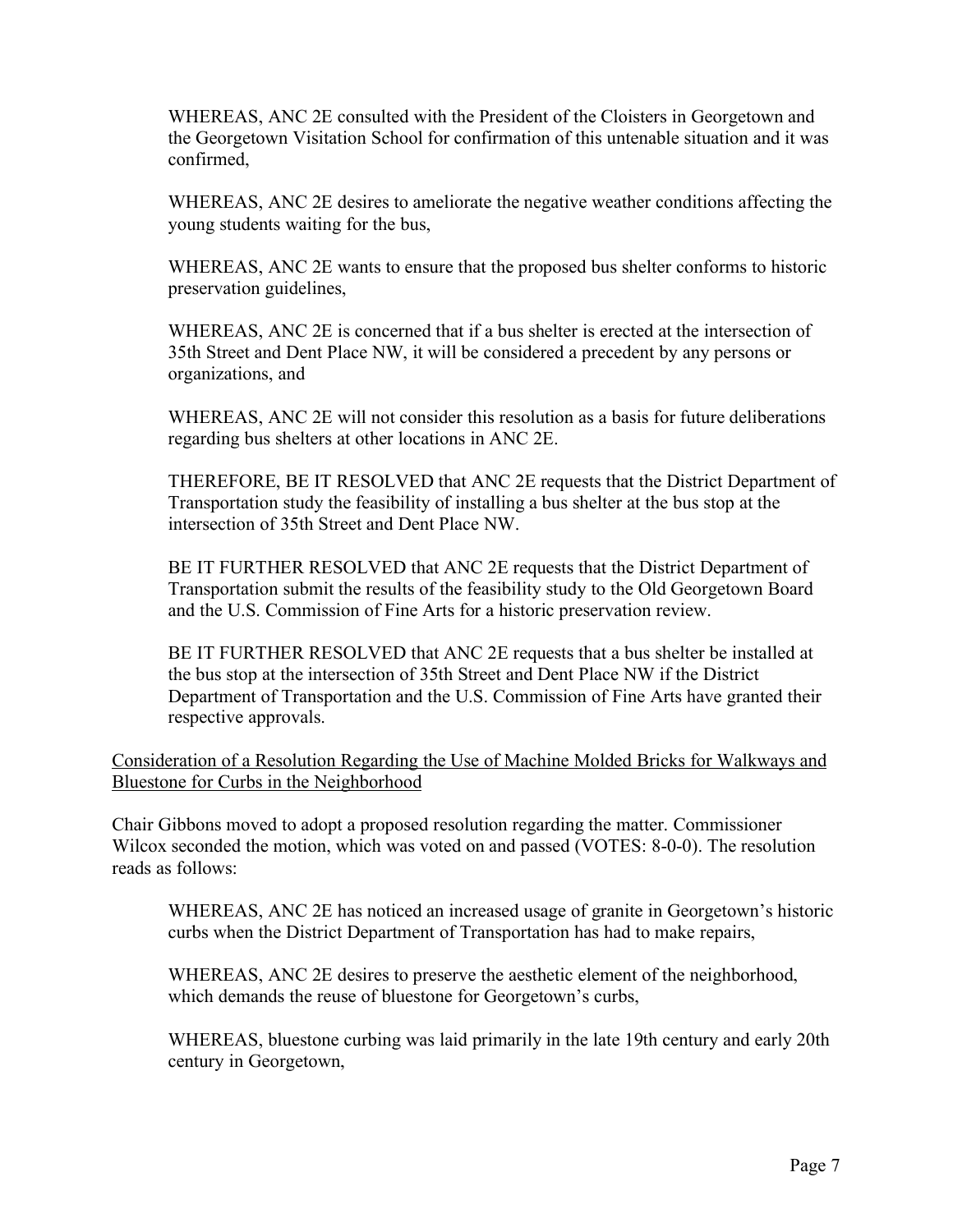WHEREAS, ANC 2E consulted with the President of the Cloisters in Georgetown and the Georgetown Visitation School for confirmation of this untenable situation and it was confirmed,

WHEREAS, ANC 2E desires to ameliorate the negative weather conditions affecting the young students waiting for the bus,

WHEREAS, ANC 2E wants to ensure that the proposed bus shelter conforms to historic preservation guidelines,

WHEREAS, ANC 2E is concerned that if a bus shelter is erected at the intersection of 35th Street and Dent Place NW, it will be considered a precedent by any persons or organizations, and

WHEREAS, ANC 2E will not consider this resolution as a basis for future deliberations regarding bus shelters at other locations in ANC 2E.

THEREFORE, BE IT RESOLVED that ANC 2E requests that the District Department of Transportation study the feasibility of installing a bus shelter at the bus stop at the intersection of 35th Street and Dent Place NW.

BE IT FURTHER RESOLVED that ANC 2E requests that the District Department of Transportation submit the results of the feasibility study to the Old Georgetown Board and the U.S. Commission of Fine Arts for a historic preservation review.

BE IT FURTHER RESOLVED that ANC 2E requests that a bus shelter be installed at the bus stop at the intersection of 35th Street and Dent Place NW if the District Department of Transportation and the U.S. Commission of Fine Arts have granted their respective approvals.

Consideration of a Resolution Regarding the Use of Machine Molded Bricks for Walkways and Bluestone for Curbs in the Neighborhood

Chair Gibbons moved to adopt a proposed resolution regarding the matter. Commissioner Wilcox seconded the motion, which was voted on and passed (VOTES: 8-0-0). The resolution reads as follows:

WHEREAS, ANC 2E has noticed an increased usage of granite in Georgetown's historic curbs when the District Department of Transportation has had to make repairs,

WHEREAS, ANC 2E desires to preserve the aesthetic element of the neighborhood, which demands the reuse of bluestone for Georgetown's curbs,

WHEREAS, bluestone curbing was laid primarily in the late 19th century and early 20th century in Georgetown,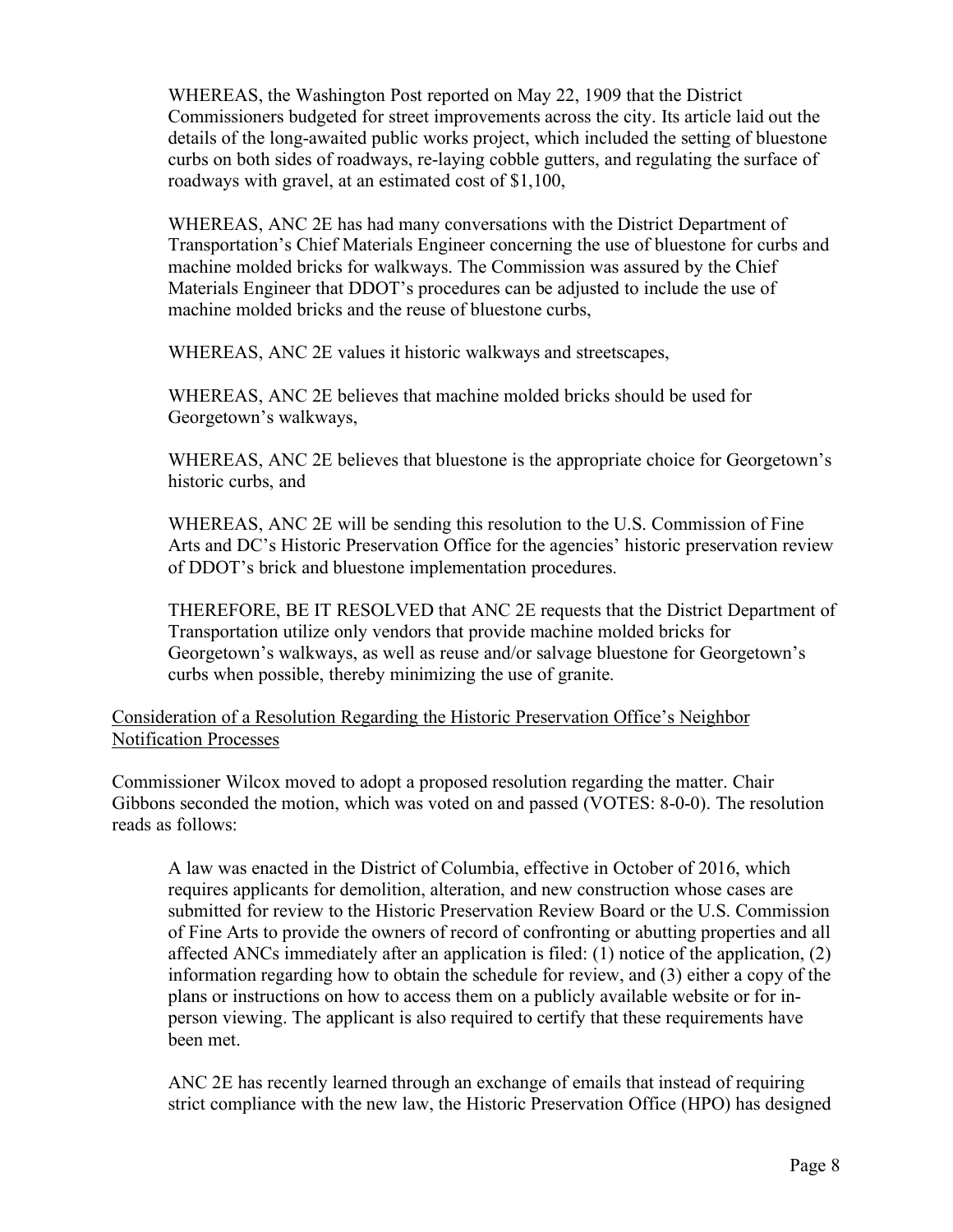WHEREAS, the Washington Post reported on May 22, 1909 that the District Commissioners budgeted for street improvements across the city. Its article laid out the details of the long-awaited public works project, which included the setting of bluestone curbs on both sides of roadways, re-laying cobble gutters, and regulating the surface of roadways with gravel, at an estimated cost of \$1,100,

WHEREAS, ANC 2E has had many conversations with the District Department of Transportation's Chief Materials Engineer concerning the use of bluestone for curbs and machine molded bricks for walkways. The Commission was assured by the Chief Materials Engineer that DDOT's procedures can be adjusted to include the use of machine molded bricks and the reuse of bluestone curbs,

WHEREAS, ANC 2E values it historic walkways and streetscapes,

WHEREAS, ANC 2E believes that machine molded bricks should be used for Georgetown's walkways,

WHEREAS, ANC 2E believes that bluestone is the appropriate choice for Georgetown's historic curbs, and

WHEREAS, ANC 2E will be sending this resolution to the U.S. Commission of Fine Arts and DC's Historic Preservation Office for the agencies' historic preservation review of DDOT's brick and bluestone implementation procedures.

THEREFORE, BE IT RESOLVED that ANC 2E requests that the District Department of Transportation utilize only vendors that provide machine molded bricks for Georgetown's walkways, as well as reuse and/or salvage bluestone for Georgetown's curbs when possible, thereby minimizing the use of granite.

Consideration of a Resolution Regarding the Historic Preservation Office's Neighbor Notification Processes

Commissioner Wilcox moved to adopt a proposed resolution regarding the matter. Chair Gibbons seconded the motion, which was voted on and passed (VOTES: 8-0-0). The resolution reads as follows:

A law was enacted in the District of Columbia, effective in October of 2016, which requires applicants for demolition, alteration, and new construction whose cases are submitted for review to the Historic Preservation Review Board or the U.S. Commission of Fine Arts to provide the owners of record of confronting or abutting properties and all affected ANCs immediately after an application is filed: (1) notice of the application, (2) information regarding how to obtain the schedule for review, and (3) either a copy of the plans or instructions on how to access them on a publicly available website or for inperson viewing. The applicant is also required to certify that these requirements have been met.

ANC 2E has recently learned through an exchange of emails that instead of requiring strict compliance with the new law, the Historic Preservation Office (HPO) has designed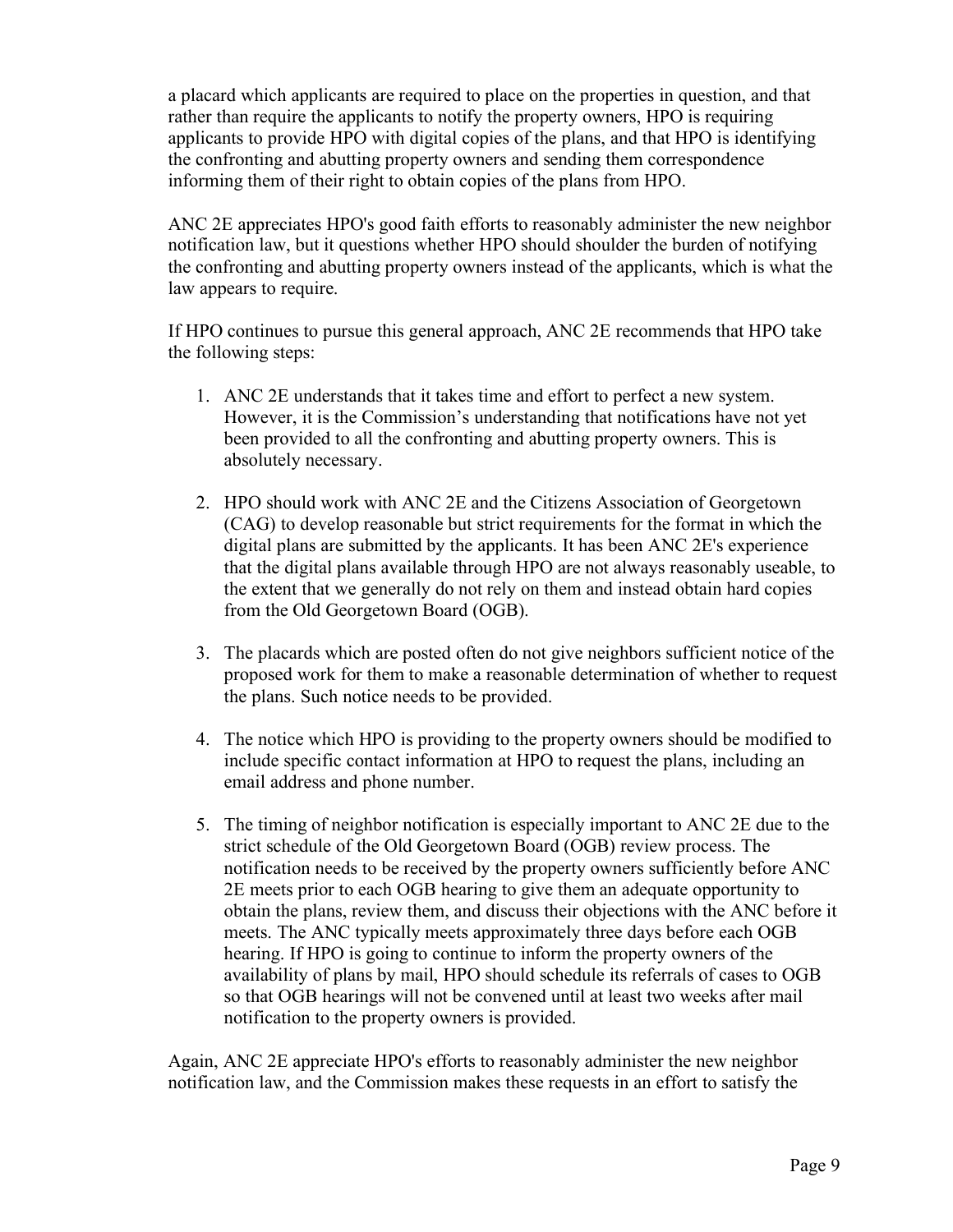a placard which applicants are required to place on the properties in question, and that rather than require the applicants to notify the property owners, HPO is requiring applicants to provide HPO with digital copies of the plans, and that HPO is identifying the confronting and abutting property owners and sending them correspondence informing them of their right to obtain copies of the plans from HPO.

ANC 2E appreciates HPO's good faith efforts to reasonably administer the new neighbor notification law, but it questions whether HPO should shoulder the burden of notifying the confronting and abutting property owners instead of the applicants, which is what the law appears to require.

If HPO continues to pursue this general approach, ANC 2E recommends that HPO take the following steps:

- 1. ANC 2E understands that it takes time and effort to perfect a new system. However, it is the Commission's understanding that notifications have not yet been provided to all the confronting and abutting property owners. This is absolutely necessary.
- 2. HPO should work with ANC 2E and the Citizens Association of Georgetown (CAG) to develop reasonable but strict requirements for the format in which the digital plans are submitted by the applicants. It has been ANC 2E's experience that the digital plans available through HPO are not always reasonably useable, to the extent that we generally do not rely on them and instead obtain hard copies from the Old Georgetown Board (OGB).
- 3. The placards which are posted often do not give neighbors sufficient notice of the proposed work for them to make a reasonable determination of whether to request the plans. Such notice needs to be provided.
- 4. The notice which HPO is providing to the property owners should be modified to include specific contact information at HPO to request the plans, including an email address and phone number.
- 5. The timing of neighbor notification is especially important to ANC 2E due to the strict schedule of the Old Georgetown Board (OGB) review process. The notification needs to be received by the property owners sufficiently before ANC 2E meets prior to each OGB hearing to give them an adequate opportunity to obtain the plans, review them, and discuss their objections with the ANC before it meets. The ANC typically meets approximately three days before each OGB hearing. If HPO is going to continue to inform the property owners of the availability of plans by mail, HPO should schedule its referrals of cases to OGB so that OGB hearings will not be convened until at least two weeks after mail notification to the property owners is provided.

Again, ANC 2E appreciate HPO's efforts to reasonably administer the new neighbor notification law, and the Commission makes these requests in an effort to satisfy the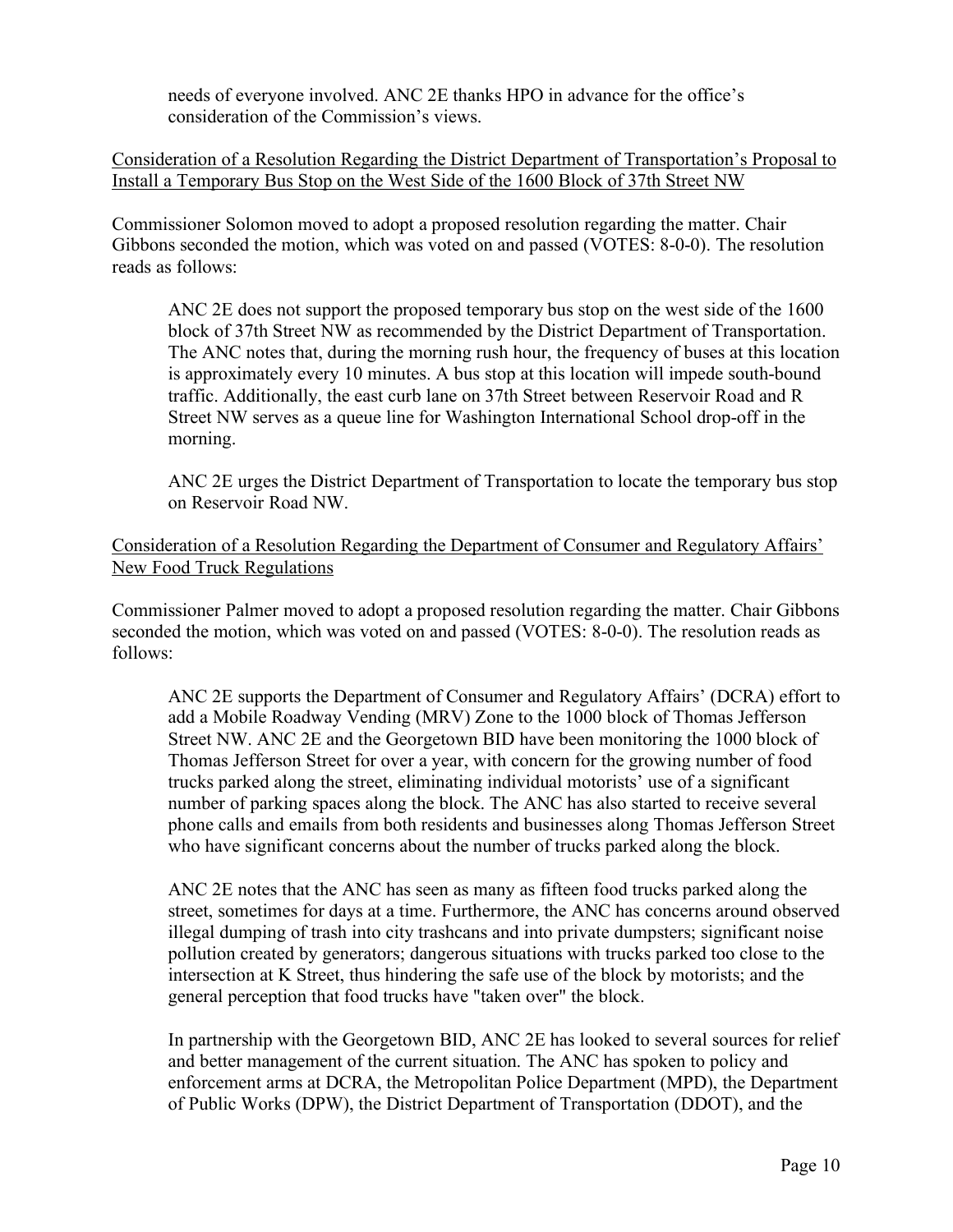needs of everyone involved. ANC 2E thanks HPO in advance for the office's consideration of the Commission's views.

Consideration of a Resolution Regarding the District Department of Transportation's Proposal to Install a Temporary Bus Stop on the West Side of the 1600 Block of 37th Street NW

Commissioner Solomon moved to adopt a proposed resolution regarding the matter. Chair Gibbons seconded the motion, which was voted on and passed (VOTES: 8-0-0). The resolution reads as follows:

ANC 2E does not support the proposed temporary bus stop on the west side of the 1600 block of 37th Street NW as recommended by the District Department of Transportation. The ANC notes that, during the morning rush hour, the frequency of buses at this location is approximately every 10 minutes. A bus stop at this location will impede south-bound traffic. Additionally, the east curb lane on 37th Street between Reservoir Road and R Street NW serves as a queue line for Washington International School drop-off in the morning.

ANC 2E urges the District Department of Transportation to locate the temporary bus stop on Reservoir Road NW.

Consideration of a Resolution Regarding the Department of Consumer and Regulatory Affairs' New Food Truck Regulations

Commissioner Palmer moved to adopt a proposed resolution regarding the matter. Chair Gibbons seconded the motion, which was voted on and passed (VOTES: 8-0-0). The resolution reads as follows:

ANC 2E supports the Department of Consumer and Regulatory Affairs' (DCRA) effort to add a Mobile Roadway Vending (MRV) Zone to the 1000 block of Thomas Jefferson Street NW. ANC 2E and the Georgetown BID have been monitoring the 1000 block of Thomas Jefferson Street for over a year, with concern for the growing number of food trucks parked along the street, eliminating individual motorists' use of a significant number of parking spaces along the block. The ANC has also started to receive several phone calls and emails from both residents and businesses along Thomas Jefferson Street who have significant concerns about the number of trucks parked along the block.

ANC 2E notes that the ANC has seen as many as fifteen food trucks parked along the street, sometimes for days at a time. Furthermore, the ANC has concerns around observed illegal dumping of trash into city trashcans and into private dumpsters; significant noise pollution created by generators; dangerous situations with trucks parked too close to the intersection at K Street, thus hindering the safe use of the block by motorists; and the general perception that food trucks have "taken over" the block.

In partnership with the Georgetown BID, ANC 2E has looked to several sources for relief and better management of the current situation. The ANC has spoken to policy and enforcement arms at DCRA, the Metropolitan Police Department (MPD), the Department of Public Works (DPW), the District Department of Transportation (DDOT), and the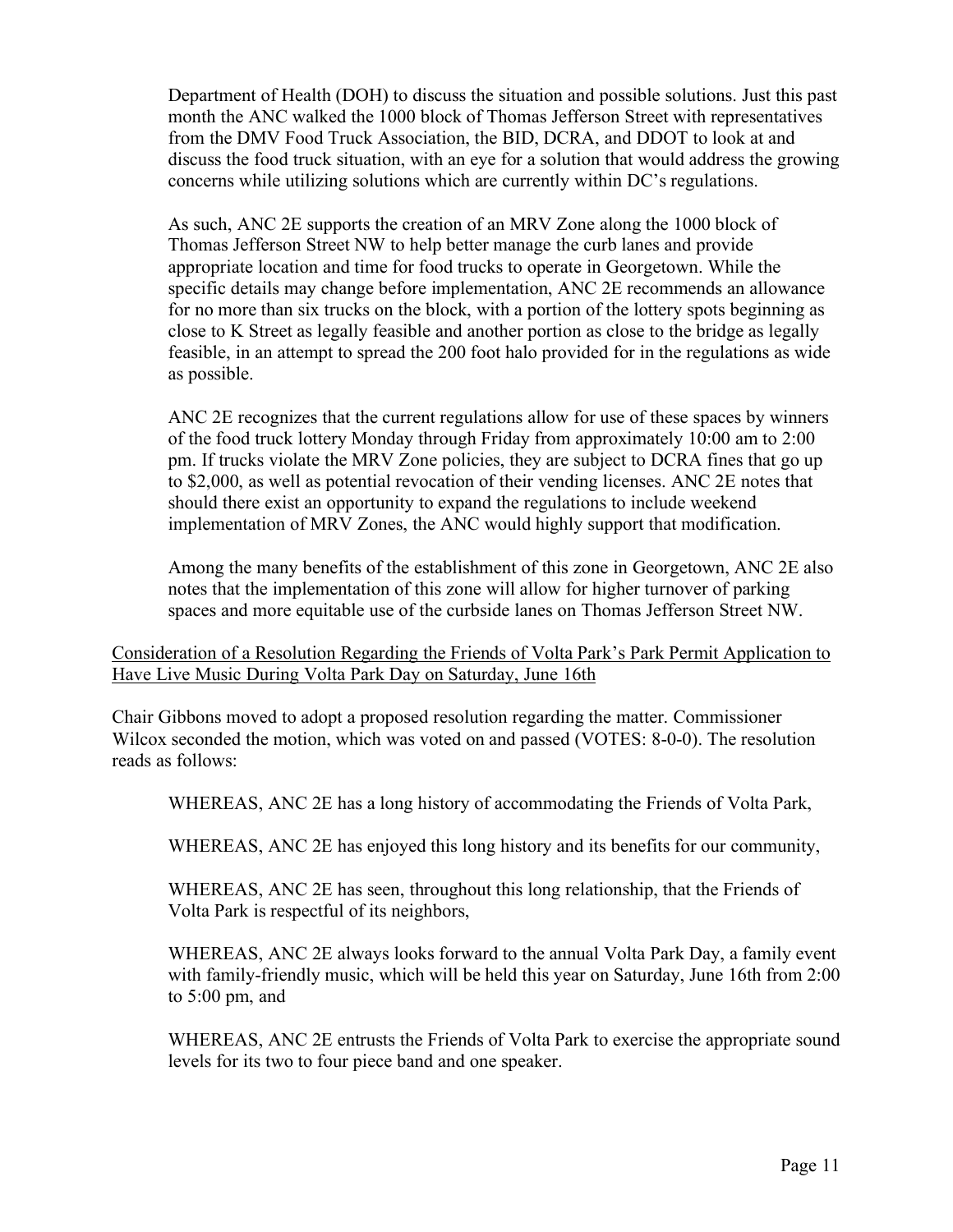Department of Health (DOH) to discuss the situation and possible solutions. Just this past month the ANC walked the 1000 block of Thomas Jefferson Street with representatives from the DMV Food Truck Association, the BID, DCRA, and DDOT to look at and discuss the food truck situation, with an eye for a solution that would address the growing concerns while utilizing solutions which are currently within DC's regulations.

As such, ANC 2E supports the creation of an MRV Zone along the 1000 block of Thomas Jefferson Street NW to help better manage the curb lanes and provide appropriate location and time for food trucks to operate in Georgetown. While the specific details may change before implementation, ANC 2E recommends an allowance for no more than six trucks on the block, with a portion of the lottery spots beginning as close to K Street as legally feasible and another portion as close to the bridge as legally feasible, in an attempt to spread the 200 foot halo provided for in the regulations as wide as possible.

ANC 2E recognizes that the current regulations allow for use of these spaces by winners of the food truck lottery Monday through Friday from approximately 10:00 am to 2:00 pm. If trucks violate the MRV Zone policies, they are subject to DCRA fines that go up to \$2,000, as well as potential revocation of their vending licenses. ANC 2E notes that should there exist an opportunity to expand the regulations to include weekend implementation of MRV Zones, the ANC would highly support that modification.

Among the many benefits of the establishment of this zone in Georgetown, ANC 2E also notes that the implementation of this zone will allow for higher turnover of parking spaces and more equitable use of the curbside lanes on Thomas Jefferson Street NW.

Consideration of a Resolution Regarding the Friends of Volta Park's Park Permit Application to Have Live Music During Volta Park Day on Saturday, June 16th

Chair Gibbons moved to adopt a proposed resolution regarding the matter. Commissioner Wilcox seconded the motion, which was voted on and passed (VOTES: 8-0-0). The resolution reads as follows:

WHEREAS, ANC 2E has a long history of accommodating the Friends of Volta Park,

WHEREAS, ANC 2E has enjoyed this long history and its benefits for our community,

WHEREAS, ANC 2E has seen, throughout this long relationship, that the Friends of Volta Park is respectful of its neighbors,

WHEREAS, ANC 2E always looks forward to the annual Volta Park Day, a family event with family-friendly music, which will be held this year on Saturday, June 16th from 2:00 to 5:00 pm, and

WHEREAS, ANC 2E entrusts the Friends of Volta Park to exercise the appropriate sound levels for its two to four piece band and one speaker.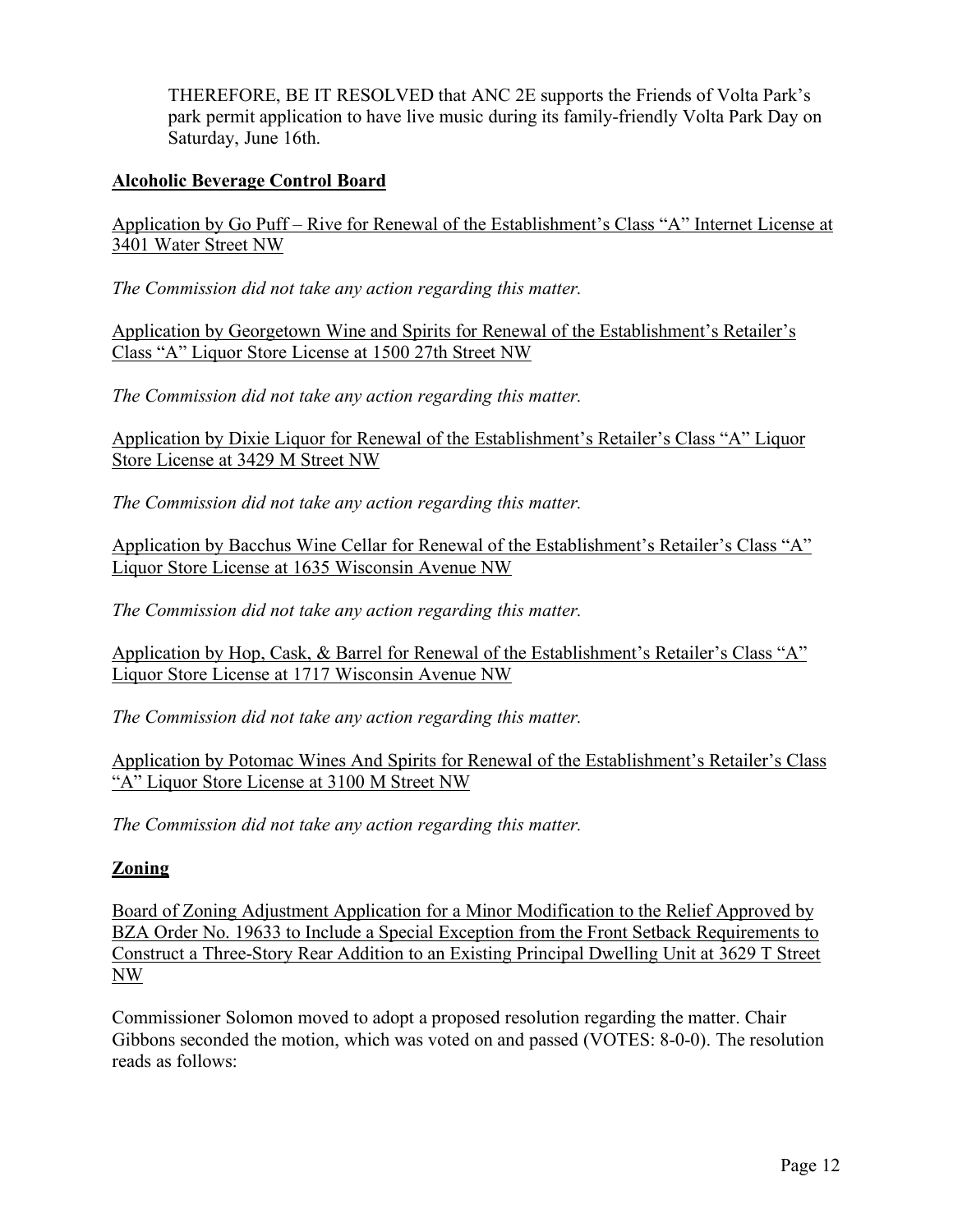THEREFORE, BE IT RESOLVED that ANC 2E supports the Friends of Volta Park's park permit application to have live music during its family-friendly Volta Park Day on Saturday, June 16th.

# **Alcoholic Beverage Control Board**

Application by Go Puff – Rive for Renewal of the Establishment's Class "A" Internet License at 3401 Water Street NW

*The Commission did not take any action regarding this matter.*

Application by Georgetown Wine and Spirits for Renewal of the Establishment's Retailer's Class "A" Liquor Store License at 1500 27th Street NW

*The Commission did not take any action regarding this matter.*

Application by Dixie Liquor for Renewal of the Establishment's Retailer's Class "A" Liquor Store License at 3429 M Street NW

*The Commission did not take any action regarding this matter.*

Application by Bacchus Wine Cellar for Renewal of the Establishment's Retailer's Class "A" Liquor Store License at 1635 Wisconsin Avenue NW

*The Commission did not take any action regarding this matter.*

Application by Hop, Cask, & Barrel for Renewal of the Establishment's Retailer's Class "A" Liquor Store License at 1717 Wisconsin Avenue NW

*The Commission did not take any action regarding this matter.*

Application by Potomac Wines And Spirits for Renewal of the Establishment's Retailer's Class "A" Liquor Store License at 3100 M Street NW

*The Commission did not take any action regarding this matter.*

# **Zoning**

Board of Zoning Adjustment Application for a Minor Modification to the Relief Approved by BZA Order No. 19633 to Include a Special Exception from the Front Setback Requirements to Construct a Three-Story Rear Addition to an Existing Principal Dwelling Unit at 3629 T Street NW

Commissioner Solomon moved to adopt a proposed resolution regarding the matter. Chair Gibbons seconded the motion, which was voted on and passed (VOTES: 8-0-0). The resolution reads as follows: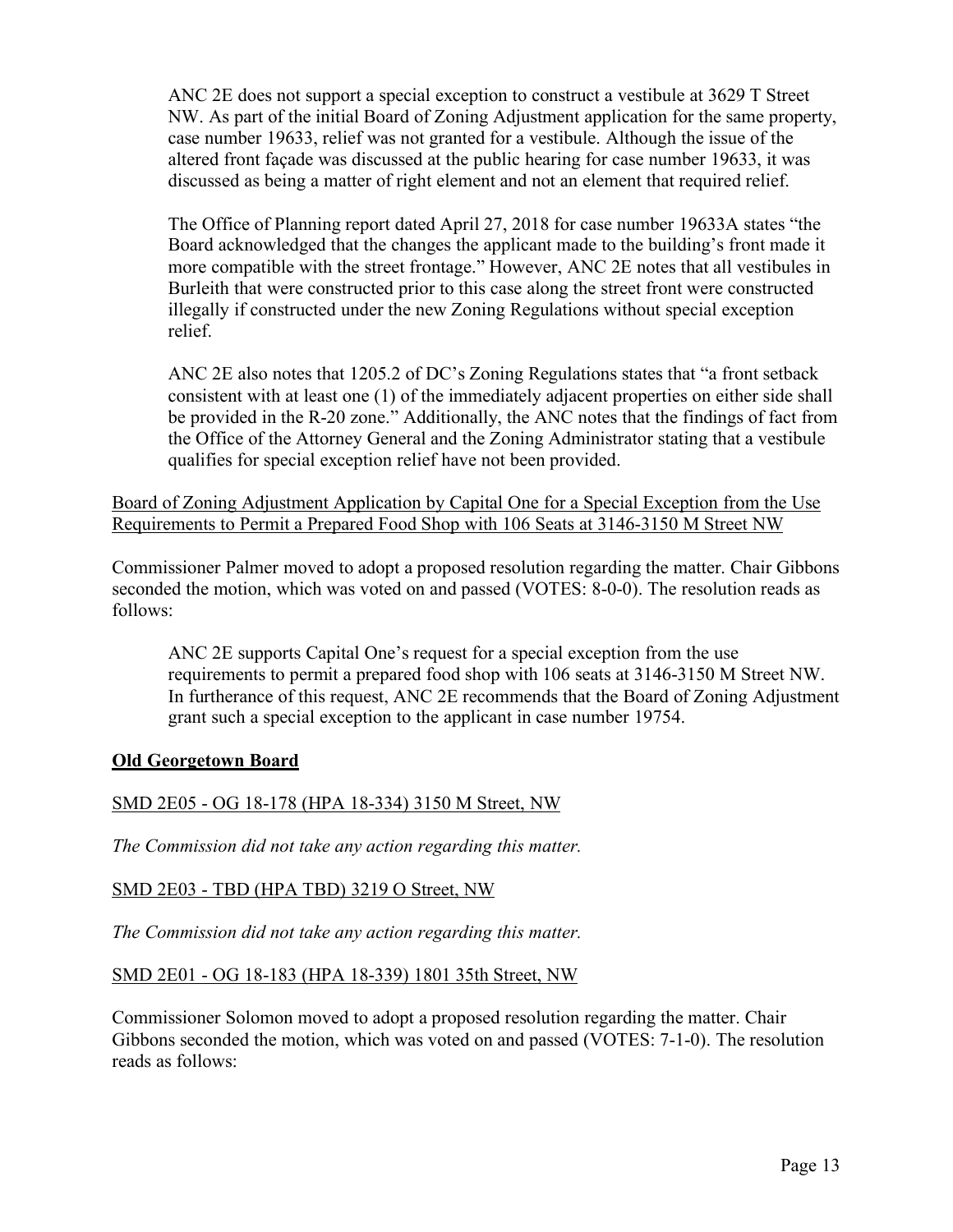ANC 2E does not support a special exception to construct a vestibule at 3629 T Street NW. As part of the initial Board of Zoning Adjustment application for the same property, case number 19633, relief was not granted for a vestibule. Although the issue of the altered front façade was discussed at the public hearing for case number 19633, it was discussed as being a matter of right element and not an element that required relief.

The Office of Planning report dated April 27, 2018 for case number 19633A states "the Board acknowledged that the changes the applicant made to the building's front made it more compatible with the street frontage." However, ANC 2E notes that all vestibules in Burleith that were constructed prior to this case along the street front were constructed illegally if constructed under the new Zoning Regulations without special exception relief.

ANC 2E also notes that 1205.2 of DC's Zoning Regulations states that "a front setback consistent with at least one (1) of the immediately adjacent properties on either side shall be provided in the R-20 zone." Additionally, the ANC notes that the findings of fact from the Office of the Attorney General and the Zoning Administrator stating that a vestibule qualifies for special exception relief have not been provided.

Board of Zoning Adjustment Application by Capital One for a Special Exception from the Use Requirements to Permit a Prepared Food Shop with 106 Seats at 3146-3150 M Street NW

Commissioner Palmer moved to adopt a proposed resolution regarding the matter. Chair Gibbons seconded the motion, which was voted on and passed (VOTES: 8-0-0). The resolution reads as follows:

ANC 2E supports Capital One's request for a special exception from the use requirements to permit a prepared food shop with 106 seats at 3146-3150 M Street NW. In furtherance of this request, ANC 2E recommends that the Board of Zoning Adjustment grant such a special exception to the applicant in case number 19754.

# **Old Georgetown Board**

# SMD 2E05 - OG 18-178 (HPA 18-334) 3150 M Street, NW

*The Commission did not take any action regarding this matter.*

## SMD 2E03 - TBD (HPA TBD) 3219 O Street, NW

*The Commission did not take any action regarding this matter.*

## SMD 2E01 - OG 18-183 (HPA 18-339) 1801 35th Street, NW

Commissioner Solomon moved to adopt a proposed resolution regarding the matter. Chair Gibbons seconded the motion, which was voted on and passed (VOTES: 7-1-0). The resolution reads as follows: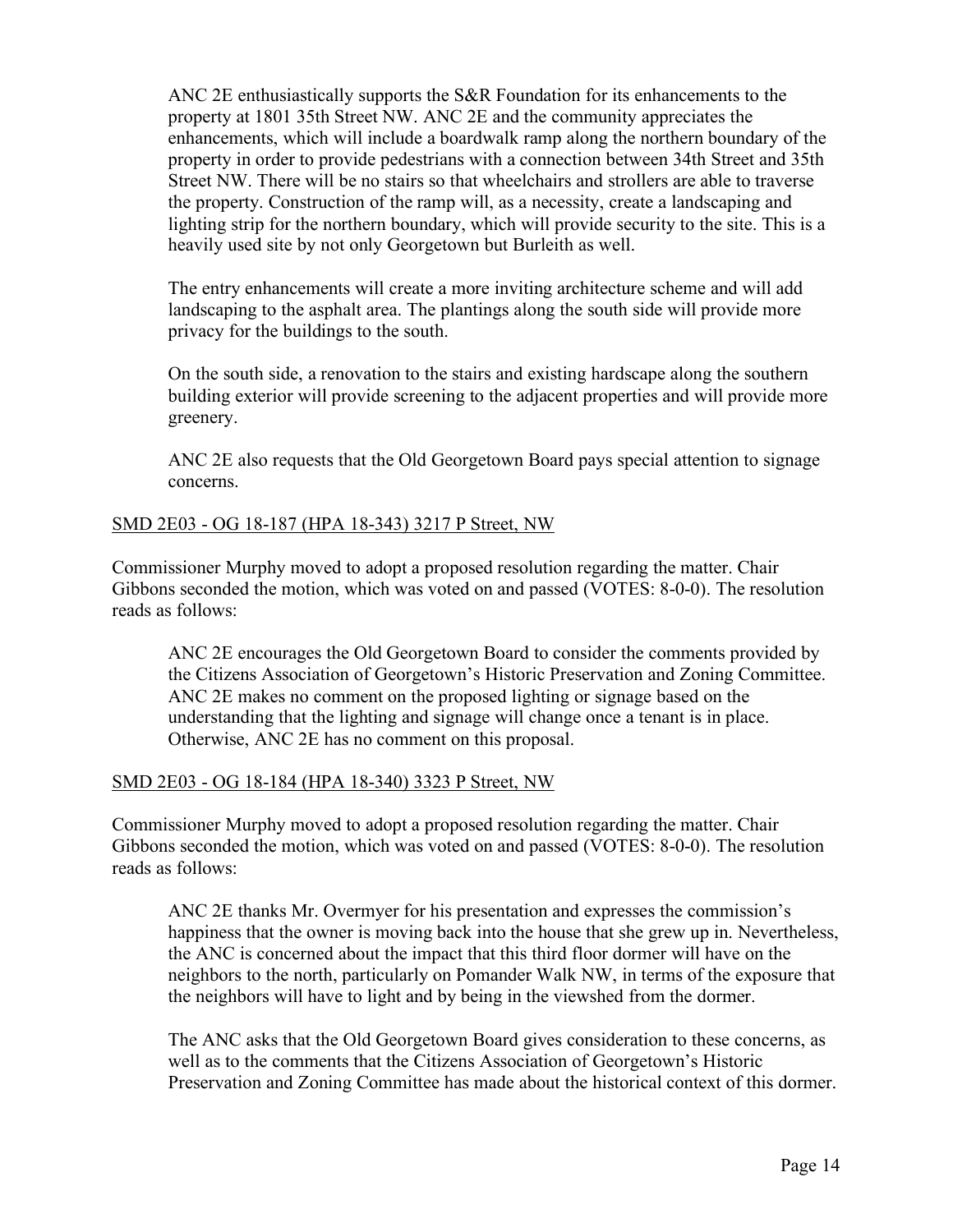ANC 2E enthusiastically supports the S&R Foundation for its enhancements to the property at 1801 35th Street NW. ANC 2E and the community appreciates the enhancements, which will include a boardwalk ramp along the northern boundary of the property in order to provide pedestrians with a connection between 34th Street and 35th Street NW. There will be no stairs so that wheelchairs and strollers are able to traverse the property. Construction of the ramp will, as a necessity, create a landscaping and lighting strip for the northern boundary, which will provide security to the site. This is a heavily used site by not only Georgetown but Burleith as well.

The entry enhancements will create a more inviting architecture scheme and will add landscaping to the asphalt area. The plantings along the south side will provide more privacy for the buildings to the south.

On the south side, a renovation to the stairs and existing hardscape along the southern building exterior will provide screening to the adjacent properties and will provide more greenery.

ANC 2E also requests that the Old Georgetown Board pays special attention to signage concerns.

## SMD 2E03 - OG 18-187 (HPA 18-343) 3217 P Street, NW

Commissioner Murphy moved to adopt a proposed resolution regarding the matter. Chair Gibbons seconded the motion, which was voted on and passed (VOTES: 8-0-0). The resolution reads as follows:

ANC 2E encourages the Old Georgetown Board to consider the comments provided by the Citizens Association of Georgetown's Historic Preservation and Zoning Committee. ANC 2E makes no comment on the proposed lighting or signage based on the understanding that the lighting and signage will change once a tenant is in place. Otherwise, ANC 2E has no comment on this proposal.

## SMD 2E03 - OG 18-184 (HPA 18-340) 3323 P Street, NW

Commissioner Murphy moved to adopt a proposed resolution regarding the matter. Chair Gibbons seconded the motion, which was voted on and passed (VOTES: 8-0-0). The resolution reads as follows:

ANC 2E thanks Mr. Overmyer for his presentation and expresses the commission's happiness that the owner is moving back into the house that she grew up in. Nevertheless, the ANC is concerned about the impact that this third floor dormer will have on the neighbors to the north, particularly on Pomander Walk NW, in terms of the exposure that the neighbors will have to light and by being in the viewshed from the dormer.

The ANC asks that the Old Georgetown Board gives consideration to these concerns, as well as to the comments that the Citizens Association of Georgetown's Historic Preservation and Zoning Committee has made about the historical context of this dormer.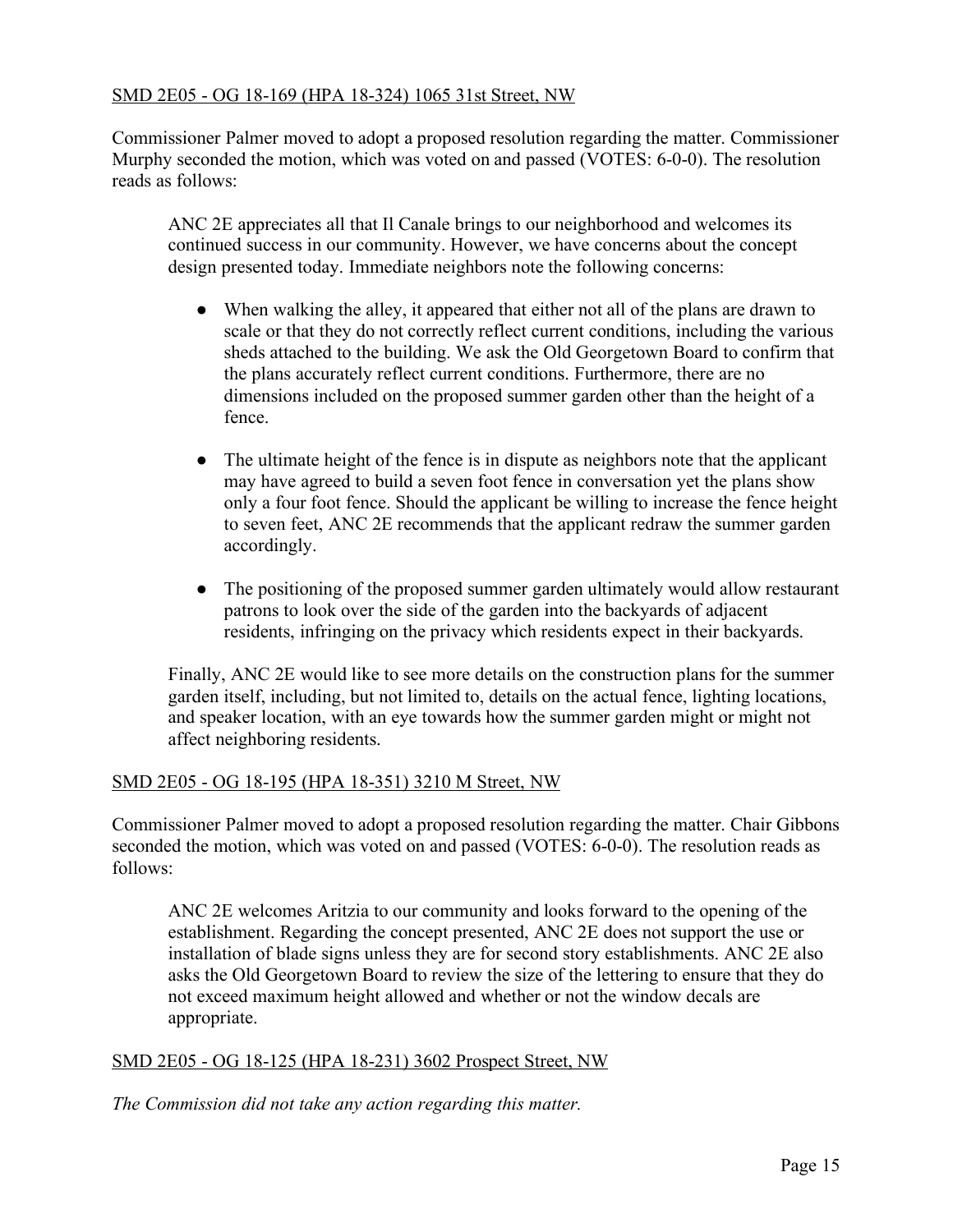## SMD 2E05 - OG 18-169 (HPA 18-324) 1065 31st Street, NW

Commissioner Palmer moved to adopt a proposed resolution regarding the matter. Commissioner Murphy seconded the motion, which was voted on and passed (VOTES: 6-0-0). The resolution reads as follows:

ANC 2E appreciates all that Il Canale brings to our neighborhood and welcomes its continued success in our community. However, we have concerns about the concept design presented today. Immediate neighbors note the following concerns:

- When walking the alley, it appeared that either not all of the plans are drawn to scale or that they do not correctly reflect current conditions, including the various sheds attached to the building. We ask the Old Georgetown Board to confirm that the plans accurately reflect current conditions. Furthermore, there are no dimensions included on the proposed summer garden other than the height of a fence.
- The ultimate height of the fence is in dispute as neighbors note that the applicant may have agreed to build a seven foot fence in conversation yet the plans show only a four foot fence. Should the applicant be willing to increase the fence height to seven feet, ANC 2E recommends that the applicant redraw the summer garden accordingly.
- The positioning of the proposed summer garden ultimately would allow restaurant patrons to look over the side of the garden into the backyards of adjacent residents, infringing on the privacy which residents expect in their backyards.

Finally, ANC 2E would like to see more details on the construction plans for the summer garden itself, including, but not limited to, details on the actual fence, lighting locations, and speaker location, with an eye towards how the summer garden might or might not affect neighboring residents.

## SMD 2E05 - OG 18-195 (HPA 18-351) 3210 M Street, NW

Commissioner Palmer moved to adopt a proposed resolution regarding the matter. Chair Gibbons seconded the motion, which was voted on and passed (VOTES: 6-0-0). The resolution reads as follows:

ANC 2E welcomes Aritzia to our community and looks forward to the opening of the establishment. Regarding the concept presented, ANC 2E does not support the use or installation of blade signs unless they are for second story establishments. ANC 2E also asks the Old Georgetown Board to review the size of the lettering to ensure that they do not exceed maximum height allowed and whether or not the window decals are appropriate.

## SMD 2E05 - OG 18-125 (HPA 18-231) 3602 Prospect Street, NW

*The Commission did not take any action regarding this matter.*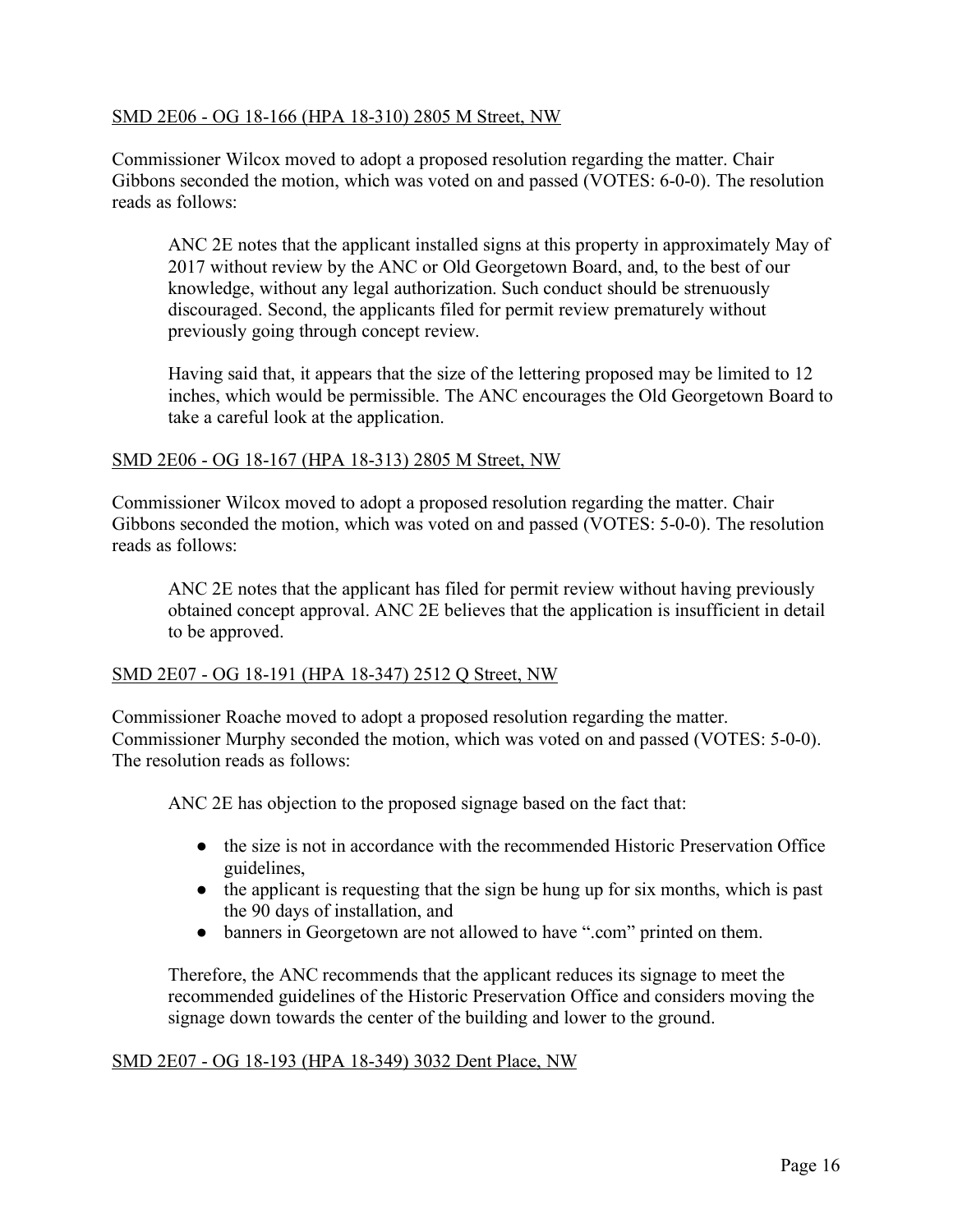## SMD 2E06 - OG 18-166 (HPA 18-310) 2805 M Street, NW

Commissioner Wilcox moved to adopt a proposed resolution regarding the matter. Chair Gibbons seconded the motion, which was voted on and passed (VOTES: 6-0-0). The resolution reads as follows:

ANC 2E notes that the applicant installed signs at this property in approximately May of 2017 without review by the ANC or Old Georgetown Board, and, to the best of our knowledge, without any legal authorization. Such conduct should be strenuously discouraged. Second, the applicants filed for permit review prematurely without previously going through concept review.

Having said that, it appears that the size of the lettering proposed may be limited to 12 inches, which would be permissible. The ANC encourages the Old Georgetown Board to take a careful look at the application.

## SMD 2E06 - OG 18-167 (HPA 18-313) 2805 M Street, NW

Commissioner Wilcox moved to adopt a proposed resolution regarding the matter. Chair Gibbons seconded the motion, which was voted on and passed (VOTES: 5-0-0). The resolution reads as follows:

ANC 2E notes that the applicant has filed for permit review without having previously obtained concept approval. ANC 2E believes that the application is insufficient in detail to be approved.

## SMD 2E07 - OG 18-191 (HPA 18-347) 2512 Q Street, NW

Commissioner Roache moved to adopt a proposed resolution regarding the matter. Commissioner Murphy seconded the motion, which was voted on and passed (VOTES: 5-0-0). The resolution reads as follows:

ANC 2E has objection to the proposed signage based on the fact that:

- the size is not in accordance with the recommended Historic Preservation Office guidelines,
- the applicant is requesting that the sign be hung up for six months, which is past the 90 days of installation, and
- banners in Georgetown are not allowed to have ".com" printed on them.

Therefore, the ANC recommends that the applicant reduces its signage to meet the recommended guidelines of the Historic Preservation Office and considers moving the signage down towards the center of the building and lower to the ground.

#### SMD 2E07 - OG 18-193 (HPA 18-349) 3032 Dent Place, NW